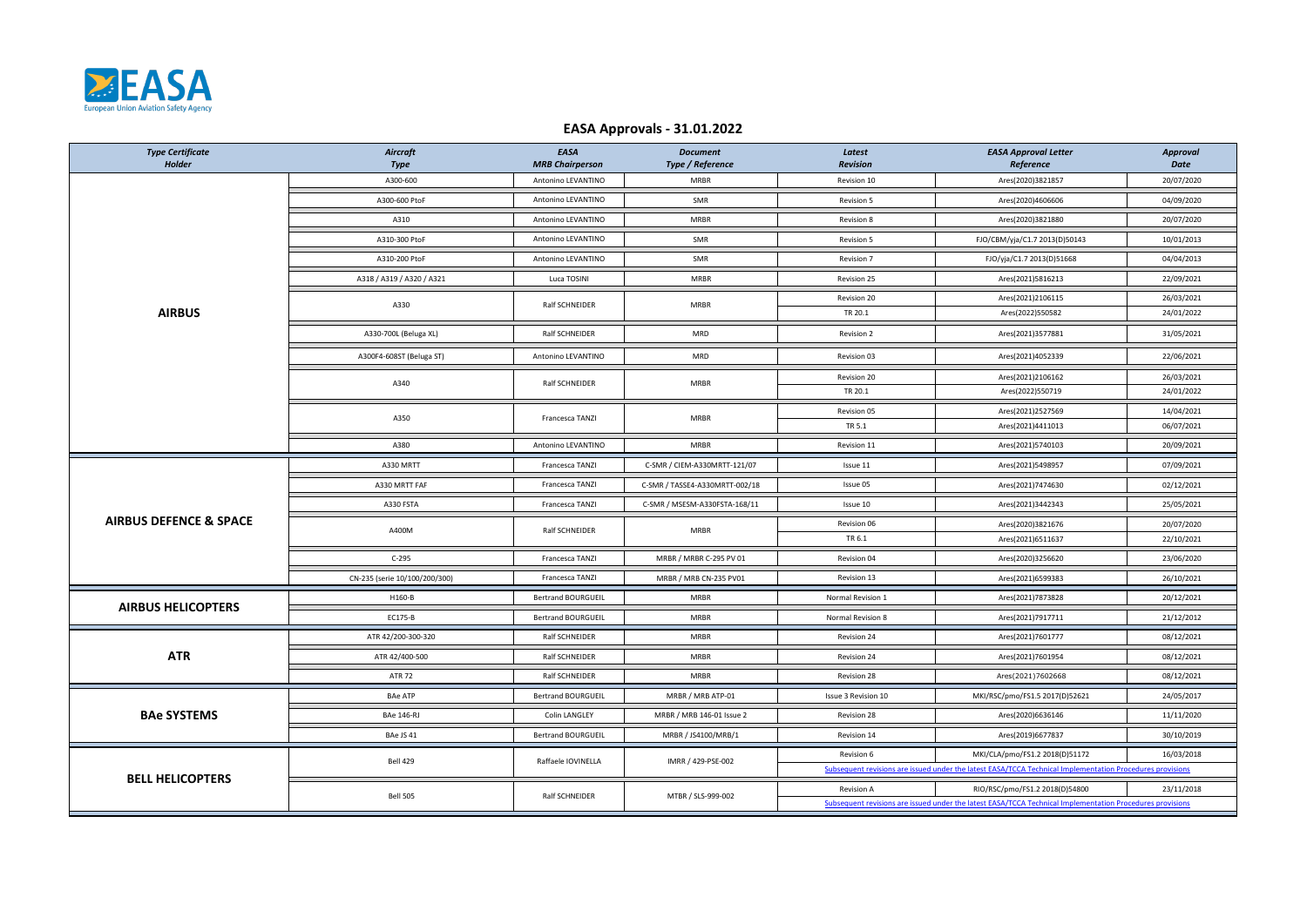| <b>Type Certificate</b><br>Holder | Aircraft<br><b>Type</b>       | EASA<br><b>MRB Chairperson</b> | <b>Document</b><br>Type / Reference      | Latest<br><b>Revision</b>                                                                                 | <b>EASA Approval Letter</b><br>Reference                                                                  | <b>Approval</b><br><b>Date</b> |  |
|-----------------------------------|-------------------------------|--------------------------------|------------------------------------------|-----------------------------------------------------------------------------------------------------------|-----------------------------------------------------------------------------------------------------------|--------------------------------|--|
|                                   | A300-600                      | Antonino LEVANTINO             | <b>MRBR</b>                              | Revision 10                                                                                               | Ares(2020)3821857                                                                                         | 20/07/2020                     |  |
|                                   | A300-600 PtoF                 | Antonino LEVANTINO             | SMR                                      | Revision 5                                                                                                | Ares(2020)4606606                                                                                         | 04/09/2020                     |  |
|                                   | A310                          | Antonino LEVANTINO             | <b>MRBR</b>                              | Revision 8                                                                                                | Ares(2020)3821880                                                                                         | 20/07/2020                     |  |
|                                   | A310-300 PtoF                 | Antonino LEVANTINO             | SMR                                      | Revision 5                                                                                                | FJO/CBM/yja/C1.7 2013(D)50143                                                                             | 10/01/2013                     |  |
|                                   | A310-200 PtoF                 | Antonino LEVANTINO             | SMR                                      | Revision 7                                                                                                | FJO/yja/C1.7 2013(D)51668                                                                                 | 04/04/2013                     |  |
|                                   | A318 / A319 / A320 / A321     | Luca TOSINI                    | <b>MRBR</b>                              | Revision 25                                                                                               | Ares(2021)5816213                                                                                         | 22/09/2021                     |  |
|                                   | A330                          | Ralf SCHNEIDER                 | <b>MRBR</b>                              | Revision 20                                                                                               | Ares(2021)2106115                                                                                         | 26/03/2021                     |  |
| <b>AIRBUS</b>                     |                               |                                |                                          | TR 20.1                                                                                                   | Ares(2022)550582                                                                                          | 24/01/2022                     |  |
|                                   | A330-700L (Beluga XL)         | Ralf SCHNEIDER                 | MRD                                      | Revision 2                                                                                                | Ares(2021)3577881                                                                                         | 31/05/2021                     |  |
|                                   | A300F4-608ST (Beluga ST)      | Antonino LEVANTINO             | MRD                                      | Revision 03                                                                                               | Ares(2021)4052339                                                                                         | 22/06/2021                     |  |
|                                   | A340                          | Ralf SCHNEIDER                 | <b>MRBR</b>                              | Revision 20                                                                                               | Ares(2021)2106162                                                                                         | 26/03/2021                     |  |
|                                   |                               |                                |                                          | TR 20.1                                                                                                   | Ares(2022)550719                                                                                          | 24/01/2022                     |  |
|                                   | A350                          | Francesca TANZI                | <b>MRBR</b>                              | Revision 05                                                                                               | Ares(2021)2527569                                                                                         | 14/04/2021                     |  |
|                                   |                               |                                |                                          | TR 5.1                                                                                                    | Ares(2021)4411013                                                                                         | 06/07/2021                     |  |
|                                   | A380                          | Antonino LEVANTINO             | <b>MRBR</b>                              | Revision 11                                                                                               | Ares(2021)5740103                                                                                         | 20/09/2021                     |  |
|                                   | A330 MRTT                     | Francesca TANZI                | C-SMR / CIEM-A330MRTT-121/07             | Issue 11                                                                                                  | Ares(2021)5498957                                                                                         | 07/09/2021                     |  |
|                                   | A330 MRTT FAF                 | Francesca TANZI                | C-SMR / TASSE4-A330MRTT-002/18           | Issue 05                                                                                                  | Ares(2021)7474630                                                                                         | 02/12/2021                     |  |
|                                   | A330 FSTA                     | Francesca TANZI                | C-SMR / MSESM-A330FSTA-168/11            | Issue 10                                                                                                  | Ares(2021)3442343                                                                                         | 25/05/2021                     |  |
| <b>AIRBUS DEFENCE &amp; SPACE</b> | A400M                         | Ralf SCHNEIDER                 | <b>MRBR</b>                              | Revision 06                                                                                               | Ares(2020)3821676                                                                                         | 20/07/2020                     |  |
|                                   |                               |                                |                                          | TR 6.1                                                                                                    | Ares(2021)6511637                                                                                         | 22/10/2021                     |  |
|                                   | $C-295$                       | Francesca TANZI                | MRBR / MRBR C-295 PV 01                  | Revision 04                                                                                               | Ares(2020)3256620                                                                                         | 23/06/2020                     |  |
|                                   | CN-235 (serie 10/100/200/300) | Francesca TANZI                | MRBR / MRB CN-235 PV01                   | Revision 13                                                                                               | Ares(2021)6599383                                                                                         | 26/10/2021                     |  |
| <b>AIRBUS HELICOPTERS</b>         | H160-B                        | <b>Bertrand BOURGUEIL</b>      | <b>MRBR</b>                              | Normal Revision 1                                                                                         | Ares(2021)7873828                                                                                         | 20/12/2021                     |  |
|                                   | EC175-B                       | <b>Bertrand BOURGUEIL</b>      | <b>MRBR</b>                              | Normal Revision 8                                                                                         | Ares(2021)7917711                                                                                         | 21/12/2012                     |  |
|                                   | ATR 42/200-300-320            | Ralf SCHNEIDER                 | MRBR                                     | Revision 24                                                                                               | Ares(2021)7601777                                                                                         | 08/12/2021                     |  |
| <b>ATR</b>                        | ATR 42/400-500                | Ralf SCHNEIDER                 | <b>MRBR</b>                              | Revision 24                                                                                               | Ares(2021)7601954                                                                                         | 08/12/2021                     |  |
|                                   | <b>ATR 72</b>                 | Ralf SCHNEIDER                 | <b>MRBR</b>                              | Revision 28                                                                                               | Ares(2021)7602668                                                                                         | 08/12/2021                     |  |
|                                   | <b>BAe ATP</b>                | <b>Bertrand BOURGUEIL</b>      | MRBR / MRB ATP-01                        | Issue 3 Revision 10                                                                                       | MKI/RSC/pmo/FS1.5 2017(D)52621                                                                            | 24/05/2017                     |  |
| <b>BAe SYSTEMS</b>                | <b>BAe 146-RJ</b>             | Colin LANGLEY                  | MRBR / MRB 146-01 Issue 2                | Revision 28                                                                                               | Ares(2020)6636146                                                                                         | 11/11/2020                     |  |
|                                   | BAe JS 41                     | <b>Bertrand BOURGUEIL</b>      | MRBR / JS4100/MRB/1                      | Revision 14                                                                                               | Ares(2019)6677837                                                                                         | 30/10/2019                     |  |
|                                   | Bell 429                      | Raffaele IOVINELLA             | IMRR / 429-PSE-002<br>MTBR / SLS-999-002 | Revision 6                                                                                                | MKI/CLA/pmo/FS1.2 2018(D)51172                                                                            | 16/03/2018                     |  |
| <b>BELL HELICOPTERS</b>           |                               |                                |                                          | Subsequent revisions are issued under the latest EASA/TCCA Technical Implementation Procedures provisions |                                                                                                           |                                |  |
|                                   | Bell 505                      | Ralf SCHNEIDER                 |                                          | <b>Revision A</b>                                                                                         | RIO/RSC/pmo/FS1.2 2018(D)54800                                                                            | 23/11/2018                     |  |
|                                   |                               |                                |                                          |                                                                                                           | Subsequent revisions are issued under the latest EASA/TCCA Technical Implementation Procedures provisions |                                |  |

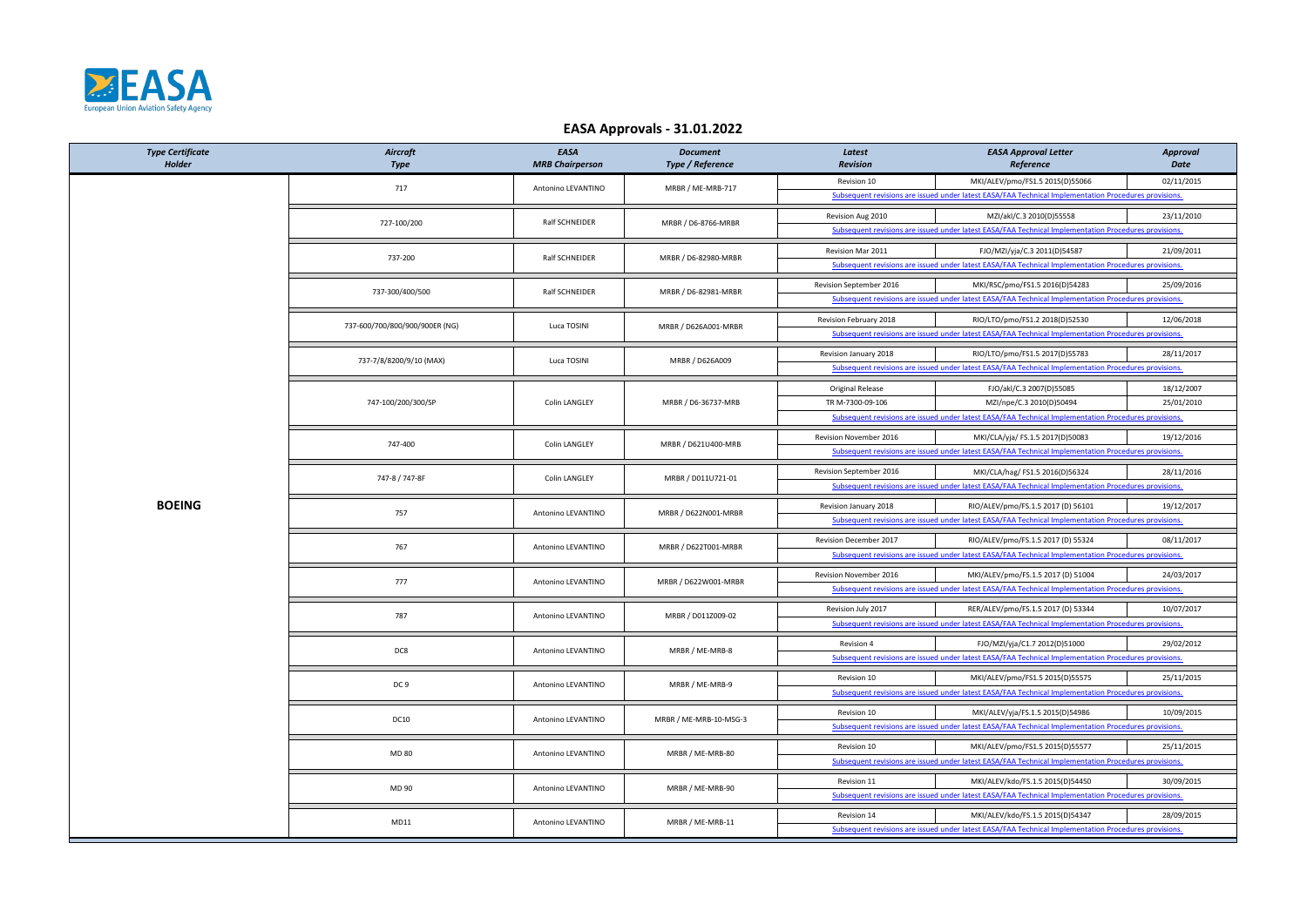

| <b>Type Certificate</b><br>Holder | Aircraft<br><b>Type</b>        | EASA<br><b>MRB Chairperson</b> | <b>Document</b><br>Type / Reference      | Latest<br><b>Revision</b>                                                                            | <b>EASA Approval Letter</b><br>Reference                                                              | <b>Approval</b><br><b>Date</b> |
|-----------------------------------|--------------------------------|--------------------------------|------------------------------------------|------------------------------------------------------------------------------------------------------|-------------------------------------------------------------------------------------------------------|--------------------------------|
|                                   | 717                            | Antonino LEVANTINO             |                                          | Revision 10                                                                                          | MKI/ALEV/pmo/FS1.5 2015(D)55066                                                                       | 02/11/2015                     |
|                                   |                                |                                | MRBR / ME-MRB-717                        | Subsequent revisions are issued under latest EASA/FAA Technical Implementation Procedures provisions |                                                                                                       |                                |
|                                   |                                |                                |                                          | Revision Aug 2010                                                                                    | MZI/akl/C.3 2010(D)55558                                                                              | 23/11/2010                     |
|                                   | 727-100/200                    | Ralf SCHNEIDER                 | MRBR / D6-8766-MRBR                      |                                                                                                      | Subsequent revisions are issued under latest EASA/FAA Technical Implementation Procedures provisions. |                                |
|                                   | 737-200                        |                                | MRBR / D6-82980-MRBR                     | Revision Mar 2011                                                                                    | FJO/MZI/yja/C.3 2011(D)54587                                                                          | 21/09/2011                     |
|                                   |                                | Ralf SCHNEIDER                 |                                          |                                                                                                      | Subsequent revisions are issued under latest EASA/FAA Technical Implementation Procedures provisions. |                                |
|                                   | 737-300/400/500                | Ralf SCHNEIDER                 | MRBR / D6-82981-MRBR                     | Revision September 2016                                                                              | MKI/RSC/pmo/FS1.5 2016(D)54283                                                                        | 25/09/2016                     |
|                                   |                                |                                |                                          |                                                                                                      | Subsequent revisions are issued under latest EASA/FAA Technical Implementation Procedures provisions. |                                |
|                                   | 737-600/700/800/900/900ER (NG) | Luca TOSINI                    | MRBR / D626A001-MRBR                     | Revision February 2018                                                                               | RIO/LTO/pmo/FS1.2 2018(D)52530                                                                        | 12/06/2018                     |
|                                   |                                |                                |                                          |                                                                                                      | Subsequent revisions are issued under latest EASA/FAA Technical Implementation Procedures provisions. |                                |
|                                   |                                |                                |                                          | Revision January 2018                                                                                | RIO/LTO/pmo/FS1.5 2017(D)55783                                                                        | 28/11/2017                     |
|                                   | 737-7/8/8200/9/10 (MAX)        | Luca TOSINI                    | MRBR / D626A009                          |                                                                                                      | Subsequent revisions are issued under latest EASA/FAA Technical Implementation Procedures provisions. |                                |
|                                   |                                |                                |                                          | Original Release                                                                                     | FJO/akl/C.3 2007(D)55085                                                                              | 18/12/2007                     |
|                                   | 747-100/200/300/SP             | <b>Colin LANGLEY</b>           | MRBR / D6-36737-MRB                      | TR M-7300-09-106                                                                                     | MZI/npe/C.3 2010(D)50494                                                                              | 25/01/2010                     |
|                                   |                                |                                |                                          |                                                                                                      | Subsequent revisions are issued under latest EASA/FAA Technical Implementation Procedures provisions. |                                |
|                                   | 747-400                        | Colin LANGLEY                  | MRBR / D621U400-MRB                      | Revision November 2016                                                                               | MKI/CLA/yja/ FS.1.5 2017(D)50083                                                                      | 19/12/2016                     |
|                                   |                                |                                |                                          |                                                                                                      | Subsequent revisions are issued under latest EASA/FAA Technical Implementation Procedures provisions  |                                |
|                                   | 747-8 / 747-8F                 | Colin LANGLEY                  |                                          | Revision September 2016                                                                              | MKI/CLA/hag/ FS1.5 2016(D)56324                                                                       | 28/11/2016                     |
|                                   |                                |                                | MRBR / D011U721-01                       |                                                                                                      | Subsequent revisions are issued under latest EASA/FAA Technical Implementation Procedures provisions. |                                |
| <b>BOEING</b>                     | 757                            | Antonino LEVANTINO             | MRBR / D622N001-MRBR                     | Revision January 2018                                                                                | RIO/ALEV/pmo/FS.1.5 2017 (D) 56101                                                                    | 19/12/2017                     |
|                                   |                                |                                |                                          |                                                                                                      | Subsequent revisions are issued under latest EASA/FAA Technical Implementation Procedures provisions  |                                |
|                                   | 767                            | Antonino LEVANTINO             | MRBR / D622T001-MRBR                     | Revision December 2017                                                                               | RIO/ALEV/pmo/FS.1.5 2017 (D) 55324                                                                    | 08/11/2017                     |
|                                   |                                |                                |                                          |                                                                                                      | Subsequent revisions are issued under latest EASA/FAA Technical Implementation Procedures provisions. |                                |
|                                   | 777                            | Antonino LEVANTINO             | MRBR / D622W001-MRBR                     | Revision November 2016                                                                               | MKI/ALEV/pmo/FS.1.5 2017 (D) 51004                                                                    | 24/03/2017                     |
|                                   |                                |                                |                                          |                                                                                                      | Subsequent revisions are issued under latest EASA/FAA Technical Implementation Procedures provisions. |                                |
|                                   | 787                            |                                |                                          | Revision July 2017                                                                                   | RER/ALEV/pmo/FS.1.5 2017 (D) 53344                                                                    | 10/07/2017                     |
|                                   |                                |                                | Antonino LEVANTINO<br>MRBR / D011Z009-02 |                                                                                                      | Subsequent revisions are issued under latest EASA/FAA Technical Implementation Procedures provisions. |                                |
|                                   | DC8                            | Antonino LEVANTINO             | MRBR / ME-MRB-8                          | Revision 4                                                                                           | FJO/MZI/yja/C1.7 2012(D)51000                                                                         | 29/02/2012                     |
|                                   |                                |                                |                                          |                                                                                                      | Subsequent revisions are issued under latest EASA/FAA Technical Implementation Procedures provisions. |                                |
|                                   |                                | Antonino LEVANTINO             |                                          | Revision 10                                                                                          | MKI/ALEV/pmo/FS1.5 2015(D)55575                                                                       | 25/11/2015                     |
|                                   | DC <sub>9</sub>                |                                | MRBR / ME-MRB-9                          | Subsequent revisions are issued under latest EASA/FAA Technical Implementation Procedures provisions |                                                                                                       |                                |
|                                   | <b>DC10</b>                    | Antonino LEVANTINO             | MRBR / ME-MRB-10-MSG-3                   | Revision 10                                                                                          | MKI/ALEV/yja/FS.1.5 2015(D)54986                                                                      | 10/09/2015                     |
|                                   |                                |                                |                                          |                                                                                                      | Subsequent revisions are issued under latest EASA/FAA Technical Implementation Procedures provisions. |                                |
|                                   | MD 80                          |                                | MRBR / ME-MRB-80                         | Revision 10                                                                                          | MKI/ALEV/pmo/FS1.5 2015(D)55577                                                                       | 25/11/2015                     |
|                                   |                                | Antonino LEVANTINO             |                                          |                                                                                                      | Subsequent revisions are issued under latest EASA/FAA Technical Implementation Procedures provisions. |                                |
|                                   | MD 90<br>Antonino LEVANTINO    |                                | MRBR / ME-MRB-90                         | Revision 11                                                                                          | MKI/ALEV/kdo/FS.1.5 2015(D)54450                                                                      | 30/09/2015                     |
|                                   |                                |                                |                                          |                                                                                                      | Subsequent revisions are issued under latest EASA/FAA Technical Implementation Procedures provisions. |                                |
|                                   |                                |                                |                                          | Revision 14                                                                                          | MKI/ALEV/kdo/FS.1.5 2015(D)54347                                                                      | 28/09/2015                     |
|                                   | MD11                           | Antonino LEVANTINO             | MRBR / ME-MRB-11                         |                                                                                                      | Subsequent revisions are issued under latest EASA/FAA Technical Implementation Procedures provisions. |                                |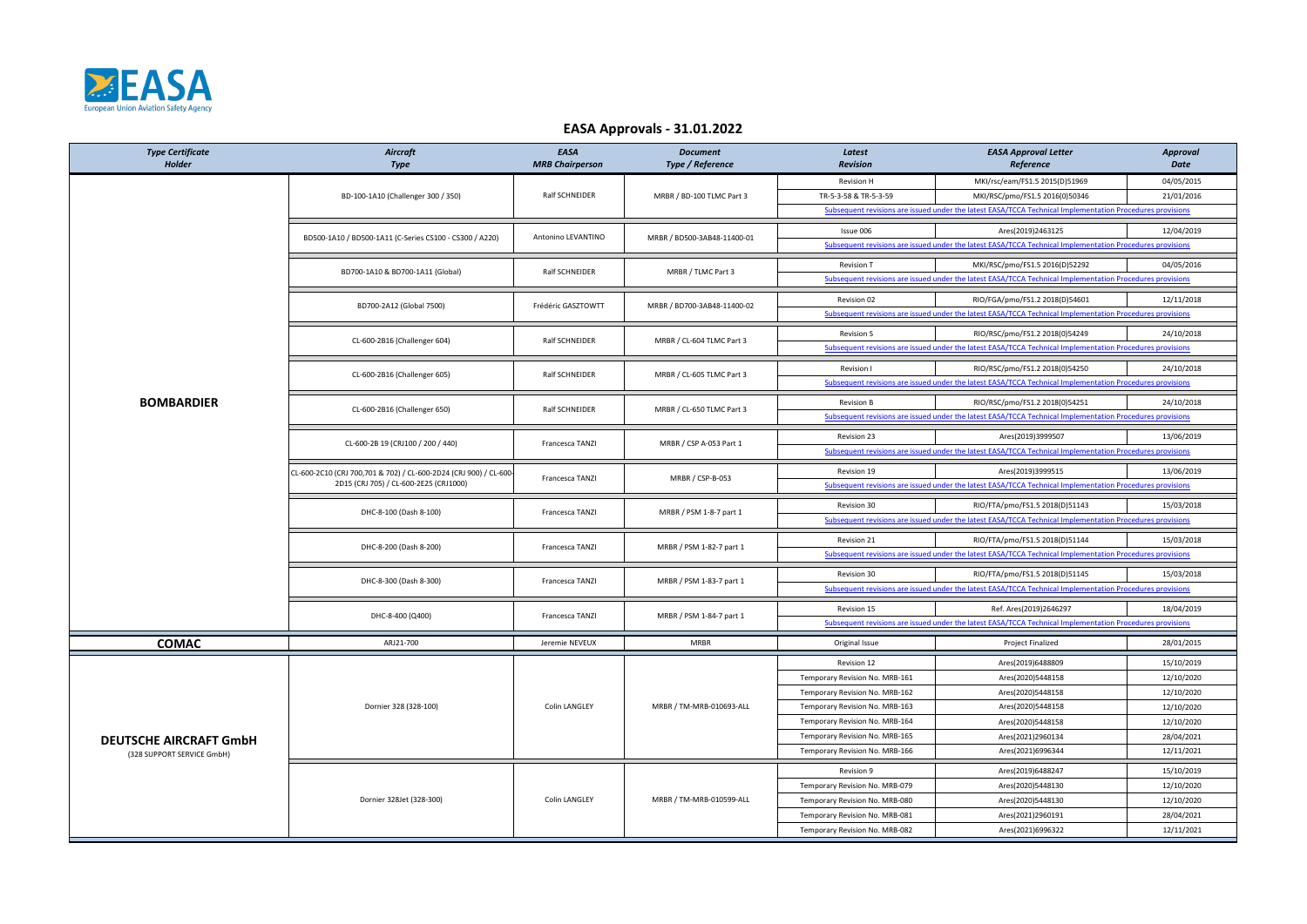

| <b>Type Certificate</b><br>Holder | Aircraft<br><b>Type</b>                                                                                     | EASA<br><b>MRB Chairperson</b> | <b>Document</b><br>Type / Reference | Latest<br><b>Revision</b>                                                                                 | <b>EASA Approval Letter</b><br>Reference                                                                  | <b>Approval</b><br>Date  |
|-----------------------------------|-------------------------------------------------------------------------------------------------------------|--------------------------------|-------------------------------------|-----------------------------------------------------------------------------------------------------------|-----------------------------------------------------------------------------------------------------------|--------------------------|
|                                   |                                                                                                             |                                |                                     | <b>Revision H</b>                                                                                         | MKI/rsc/eam/FS1.5 2015(D)51969                                                                            | 04/05/2015               |
|                                   | BD-100-1A10 (Challenger 300 / 350)                                                                          | Ralf SCHNEIDER                 | MRBR / BD-100 TLMC Part 3           | TR-5-3-58 & TR-5-3-59                                                                                     | MKI/RSC/pmo/FS1.5 2016(0)50346                                                                            | 21/01/2016               |
|                                   |                                                                                                             |                                |                                     |                                                                                                           | Subsequent revisions are issued under the latest EASA/TCCA Technical Implementation Procedures provisions |                          |
|                                   |                                                                                                             |                                |                                     | Issue 006                                                                                                 | Ares(2019)2463125                                                                                         | 12/04/2019               |
|                                   | BD500-1A10 / BD500-1A11 (C-Series CS100 - CS300 / A220)                                                     | Antonino LEVANTINO             | MRBR / BD500-3AB48-11400-01         |                                                                                                           | Subsequent revisions are issued under the latest EASA/TCCA Technical Implementation Procedures provisions |                          |
|                                   |                                                                                                             | Ralf SCHNEIDER                 | MRBR / TLMC Part 3                  | Revision T                                                                                                | MKI/RSC/pmo/FS1.5 2016(D)52292                                                                            | 04/05/2016               |
|                                   | BD700-1A10 & BD700-1A11 (Global)                                                                            |                                |                                     |                                                                                                           | Subsequent revisions are issued under the latest EASA/TCCA Technical Implementation Procedures provisions |                          |
|                                   | BD700-2A12 (Global 7500)                                                                                    | Frédéric GASZTOWTT             | MRBR / BD700-3AB48-11400-02         | Revision 02                                                                                               | RIO/FGA/pmo/FS1.2 2018(D)54601                                                                            | 12/11/2018               |
|                                   |                                                                                                             |                                |                                     |                                                                                                           | Subsequent revisions are issued under the latest EASA/TCCA Technical Implementation Procedures provisions |                          |
|                                   | CL-600-2B16 (Challenger 604)                                                                                | Ralf SCHNEIDER                 |                                     | <b>Revision S</b>                                                                                         | RIO/RSC/pmo/FS1.2 2018(0)54249                                                                            | 24/10/2018               |
|                                   |                                                                                                             |                                | MRBR / CL-604 TLMC Part 3           |                                                                                                           | Subsequent revisions are issued under the latest EASA/TCCA Technical Implementation Procedures provisions |                          |
|                                   | CL-600-2B16 (Challenger 605)                                                                                | Ralf SCHNEIDER                 | MRBR / CL-605 TLMC Part 3           | Revision I                                                                                                | RIO/RSC/pmo/FS1.2 2018(0)54250                                                                            | 24/10/2018               |
|                                   |                                                                                                             |                                |                                     |                                                                                                           | Subsequent revisions are issued under the latest EASA/TCCA Technical Implementation Procedures provisions |                          |
| <b>BOMBARDIER</b>                 | CL-600-2B16 (Challenger 650)                                                                                | Ralf SCHNEIDER                 | MRBR / CL-650 TLMC Part 3           | Revision B                                                                                                | RIO/RSC/pmo/FS1.2 2018(0)54251                                                                            | 24/10/2018               |
|                                   |                                                                                                             |                                |                                     |                                                                                                           | Subsequent revisions are issued under the latest EASA/TCCA Technical Implementation Procedures provisions |                          |
|                                   | CL-600-2B 19 (CRJ100 / 200 / 440)                                                                           | Francesca TANZI                | MRBR / CSP A-053 Part 1             | Revision 23                                                                                               | Ares(2019)3999507                                                                                         | 13/06/2019               |
|                                   |                                                                                                             |                                |                                     |                                                                                                           | Subsequent revisions are issued under the latest EASA/TCCA Technical Implementation Procedures provisions |                          |
|                                   | CL-600-2C10 (CRJ 700,701 & 702) / CL-600-2D24 (CRJ 900) / CL-600-<br>2D15 (CRJ 705) / CL-600-2E25 (CRJ1000) | Francesca TANZI                | MRBR / CSP-B-053                    | Revision 19                                                                                               | Ares(2019)3999515                                                                                         | 13/06/2019               |
|                                   |                                                                                                             |                                |                                     | Subsequent revisions are issued under the latest EASA/TCCA Technical Implementation Procedures provisions |                                                                                                           |                          |
|                                   | DHC-8-100 (Dash 8-100)                                                                                      | Francesca TANZI                | MRBR / PSM 1-8-7 part 1             | Revision 30                                                                                               | RIO/FTA/pmo/FS1.5 2018(D)51143                                                                            | 15/03/2018               |
|                                   |                                                                                                             |                                |                                     |                                                                                                           | Subsequent revisions are issued under the latest EASA/TCCA Technical Implementation Procedures provisions |                          |
|                                   | DHC-8-200 (Dash 8-200)                                                                                      | Francesca TANZI                | MRBR / PSM 1-82-7 part 1            | Revision 21                                                                                               | RIO/FTA/pmo/FS1.5 2018(D)51144                                                                            | 15/03/2018               |
|                                   |                                                                                                             |                                |                                     |                                                                                                           | Subsequent revisions are issued under the latest EASA/TCCA Technical Implementation Procedures provisions |                          |
|                                   | DHC-8-300 (Dash 8-300)                                                                                      | Francesca TANZI                | MRBR / PSM 1-83-7 part 1            | Revision 30                                                                                               | RIO/FTA/pmo/FS1.5 2018(D)51145                                                                            | 15/03/2018               |
|                                   |                                                                                                             |                                |                                     |                                                                                                           | Subsequent revisions are issued under the latest EASA/TCCA Technical Implementation Procedures provisions |                          |
|                                   | DHC-8-400 (Q400)                                                                                            | Francesca TANZI                | MRBR / PSM 1-84-7 part 1            | Revision 15                                                                                               | Ref. Ares(2019)2646297                                                                                    | 18/04/2019               |
|                                   |                                                                                                             |                                |                                     |                                                                                                           | Subsequent revisions are issued under the latest EASA/TCCA Technical Implementation Procedures provisions |                          |
| <b>COMAC</b>                      | ARJ21-700                                                                                                   | Jeremie NEVEUX                 | <b>MRBR</b>                         | Original Issue                                                                                            | Project Finalized                                                                                         | 28/01/2015               |
|                                   | Dornier 328 (328-100)                                                                                       | Colin LANGLEY                  |                                     | Revision 12                                                                                               | Ares(2019)6488809                                                                                         | 15/10/2019               |
|                                   |                                                                                                             |                                | MRBR / TM-MRB-010693-ALL            | Temporary Revision No. MRB-161                                                                            | Ares(2020)5448158                                                                                         | 12/10/2020               |
|                                   |                                                                                                             |                                |                                     | Temporary Revision No. MRB-162                                                                            | Ares(2020)5448158                                                                                         | 12/10/2020               |
|                                   |                                                                                                             |                                |                                     | Temporary Revision No. MRB-163                                                                            | Ares(2020)5448158                                                                                         | 12/10/2020               |
|                                   |                                                                                                             |                                |                                     | Temporary Revision No. MRB-164<br>Temporary Revision No. MRB-165                                          | Ares(2020)5448158<br>Ares(2021)2960134                                                                    | 12/10/2020<br>28/04/2021 |
| <b>DEUTSCHE AIRCRAFT GmbH</b>     |                                                                                                             |                                |                                     | Temporary Revision No. MRB-166                                                                            | Ares(2021)6996344                                                                                         | 12/11/2021               |
| (328 SUPPORT SERVICE GmbH)        | Dornier 328Jet (328-300)                                                                                    |                                | MRBR / TM-MRB-010599-ALL            | Revision 9                                                                                                | Ares(2019)6488247                                                                                         |                          |
|                                   |                                                                                                             | Colin LANGLEY                  |                                     | Temporary Revision No. MRB-079                                                                            | Ares(2020)5448130                                                                                         | 15/10/2019<br>12/10/2020 |
|                                   |                                                                                                             |                                |                                     | Temporary Revision No. MRB-080                                                                            | Ares(2020)5448130                                                                                         | 12/10/2020               |
|                                   |                                                                                                             |                                |                                     | Temporary Revision No. MRB-081                                                                            | Ares(2021)2960191                                                                                         | 28/04/2021               |
|                                   |                                                                                                             |                                |                                     | Temporary Revision No. MRB-082                                                                            | Ares(2021)6996322                                                                                         | 12/11/2021               |
|                                   |                                                                                                             |                                |                                     |                                                                                                           |                                                                                                           |                          |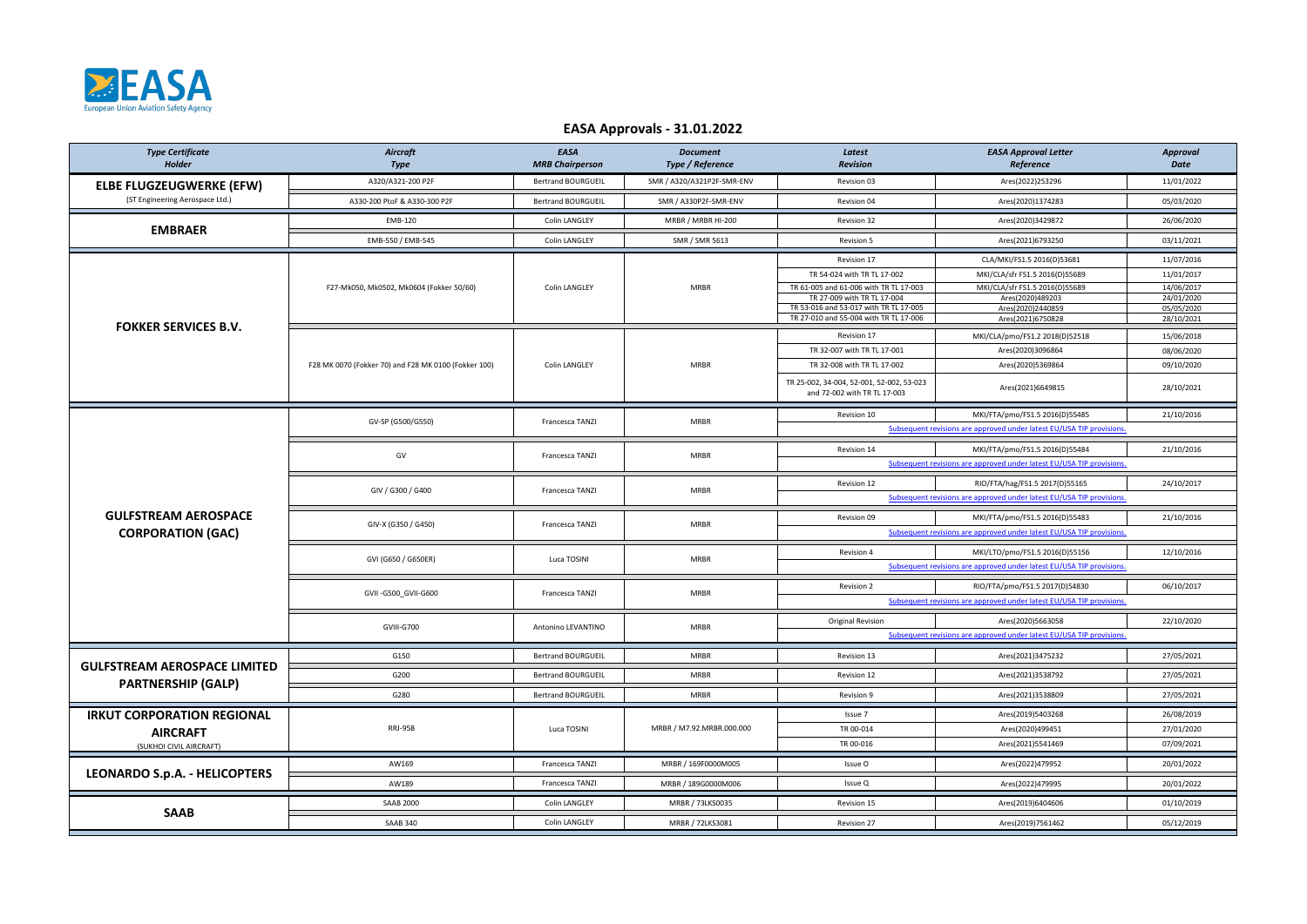

| <b>Type Certificate</b><br>Holder    | Aircraft<br><b>Type</b>                              | EASA<br><b>MRB Chairperson</b> | <b>Document</b><br>Type / Reference | Latest<br><b>Revision</b>                                                 | <b>EASA Approval Letter</b><br>Reference                              | <b>Approval</b><br><b>Date</b> |
|--------------------------------------|------------------------------------------------------|--------------------------------|-------------------------------------|---------------------------------------------------------------------------|-----------------------------------------------------------------------|--------------------------------|
| <b>ELBE FLUGZEUGWERKE (EFW)</b>      | A320/A321-200 P2F                                    | <b>Bertrand BOURGUEIL</b>      | SMR / A320/A321P2F-SMR-ENV          | Revision 03                                                               | Ares(2022)253296                                                      | 11/01/2022                     |
| (ST Engineering Aerospace Ltd.)      | A330-200 PtoF & A330-300 P2F                         | Bertrand BOURGUEIL             | SMR / A330P2F-SMR-ENV               | Revision 04                                                               | Ares(2020)1374283                                                     | 05/03/2020                     |
| <b>EMBRAER</b>                       | EMB-120                                              | Colin LANGLEY                  | MRBR / MRBR HI-200                  | Revision 32                                                               | Ares(2020)3429872                                                     | 26/06/2020                     |
|                                      | EMB-550 / EMB-545                                    | Colin LANGLEY                  | SMR / SMR 5613                      | Revision 5                                                                | Ares(2021)6793250                                                     | 03/11/2021                     |
|                                      |                                                      |                                |                                     | Revision 17                                                               | CLA/MKI/FS1.5 2016(D)53681                                            | 11/07/2016                     |
|                                      |                                                      |                                |                                     | TR 54-024 with TR TL 17-002                                               | MKI/CLA/sfr FS1.5 2016(D)55689                                        | 11/01/2017                     |
|                                      | F27-Mk050, Mk0502, Mk0604 (Fokker 50/60)             | Colin LANGLEY                  | <b>MRBR</b>                         | TR 61-005 and 61-006 with TR TL 17-003                                    | MKI/CLA/sfr FS1.5 2016(D)55689                                        | 14/06/2017                     |
|                                      |                                                      |                                |                                     | TR 27-009 with TR TL 17-004<br>TR 53-016 and 53-017 with TR TL 17-005     | Ares(2020)489203<br>Ares(2020)2440859                                 | 24/01/2020<br>05/05/2020       |
|                                      |                                                      |                                |                                     | TR 27-010 and 55-004 with TR TL 17-006                                    | Ares(2021)6750828                                                     | 28/10/2021                     |
| <b>FOKKER SERVICES B.V.</b>          |                                                      |                                |                                     | Revision 17                                                               | MKI/CLA/pmo/FS1.2 2018(D)52518                                        | 15/06/2018                     |
|                                      |                                                      |                                |                                     | TR 32-007 with TR TL 17-001                                               | Ares(2020)3096864                                                     | 08/06/2020                     |
|                                      | F28 MK 0070 (Fokker 70) and F28 MK 0100 (Fokker 100) | Colin LANGLEY                  | <b>MRBR</b>                         | TR 32-008 with TR TL 17-002                                               | Ares(2020)5369864                                                     | 09/10/2020                     |
|                                      |                                                      |                                |                                     | TR 25-002, 34-004, 52-001, 52-002, 53-023<br>and 72-002 with TR TL 17-003 | Ares(2021)6649815                                                     | 28/10/2021                     |
|                                      |                                                      |                                |                                     | Revision 10                                                               | MKI/FTA/pmo/FS1.5 2016(D)55485                                        | 21/10/2016                     |
|                                      | GV-SP (G500/G550)                                    | Francesca TANZI                | <b>MRBR</b>                         | Subsequent revisions are approved under latest EU/USA TIP provisions.     |                                                                       |                                |
|                                      |                                                      |                                | <b>MRBR</b>                         | Revision 14                                                               | MKI/FTA/pmo/FS1.5 2016(D)55484                                        | 21/10/2016                     |
|                                      | GV                                                   | Francesca TANZI                |                                     |                                                                           | Subsequent revisions are approved under latest EU/USA TIP provisions. |                                |
|                                      | GIV / G300 / G400                                    | Francesca TANZI                | <b>MRBR</b>                         | Revision 12                                                               | RIO/FTA/hag/FS1.5 2017(D)55165                                        | 24/10/2017                     |
|                                      |                                                      |                                |                                     |                                                                           | Subsequent revisions are approved under latest EU/USA TIP provisions. |                                |
| <b>GULFSTREAM AEROSPACE</b>          | GIV-X (G350 / G450)                                  | Francesca TANZI                | <b>MRBR</b>                         | Revision 09                                                               | MKI/FTA/pmo/FS1.5 2016(D)55483                                        | 21/10/2016                     |
| <b>CORPORATION (GAC)</b>             |                                                      |                                |                                     |                                                                           | Subsequent revisions are approved under latest EU/USA TIP provisions. |                                |
|                                      | GVI (G650 / G650ER)                                  | Luca TOSINI                    | <b>MRBR</b>                         | Revision 4                                                                | MKI/LTO/pmo/FS1.5 2016(D)55156                                        | 12/10/2016                     |
|                                      |                                                      |                                |                                     |                                                                           | Subsequent revisions are approved under latest EU/USA TIP provisions. |                                |
|                                      | GVII-G500_GVII-G600                                  | Francesca TANZI                | <b>MRBR</b>                         | Revision 2                                                                | RIO/FTA/pmo/FS1.5 2017(D)54830                                        | 06/10/2017                     |
|                                      |                                                      |                                |                                     |                                                                           | Subsequent revisions are approved under latest EU/USA TIP provisions. |                                |
|                                      |                                                      |                                | <b>MRBR</b>                         | <b>Original Revision</b>                                                  | Ares(2020)5663058                                                     | 22/10/2020                     |
|                                      | GVIII-G700                                           | Antonino LEVANTINO             |                                     |                                                                           | Subsequent revisions are approved under latest EU/USA TIP provisions  |                                |
|                                      | G150                                                 | <b>Bertrand BOURGUEIL</b>      | <b>MRBR</b>                         | Revision 13                                                               | Ares(2021)3475232                                                     | 27/05/2021                     |
| <b>GULFSTREAM AEROSPACE LIMITED</b>  | G200                                                 | Bertrand BOURGUEIL             | <b>MRBR</b>                         | Revision 12                                                               | Ares(2021)3538792                                                     | 27/05/2021                     |
| <b>PARTNERSHIP (GALP)</b>            | G280                                                 | <b>Bertrand BOURGUEIL</b>      | <b>MRBR</b>                         | Revision 9                                                                | Ares(2021)3538809                                                     | 27/05/2021                     |
| <b>IRKUT CORPORATION REGIONAL</b>    |                                                      |                                |                                     | Issue 7                                                                   | Ares(2019)5403268                                                     | 26/08/2019                     |
| <b>AIRCRAFT</b>                      | RRJ-95B                                              | Luca TOSINI                    | MRBR / M7.92.MRBR.000.000           | TR 00-014                                                                 | Ares(2020)499451                                                      | 27/01/2020                     |
| (SUKHOI CIVIL AIRCRAFT)              |                                                      |                                |                                     | TR 00-016                                                                 | Ares(2021)5541469                                                     | 07/09/2021                     |
|                                      | AW169                                                | Francesca TANZI                | MRBR / 169F0000M005                 | Issue O                                                                   | Ares(2022)479952                                                      | 20/01/2022                     |
| <b>LEONARDO S.p.A. - HELICOPTERS</b> | AW189                                                | Francesca TANZI                | MRBR / 189G0000M006                 | Issue Q                                                                   | Ares(2022)479995                                                      | 20/01/2022                     |
|                                      | <b>SAAB 2000</b>                                     | Colin LANGLEY                  | MRBR / 73LKS0035                    | Revision 15                                                               | Ares(2019)6404606                                                     | 01/10/2019                     |
| <b>SAAB</b>                          | SAAB 340                                             | Colin LANGLEY                  | MRBR / 72LKS3081                    | Revision 27                                                               | Ares(2019)7561462                                                     | 05/12/2019                     |